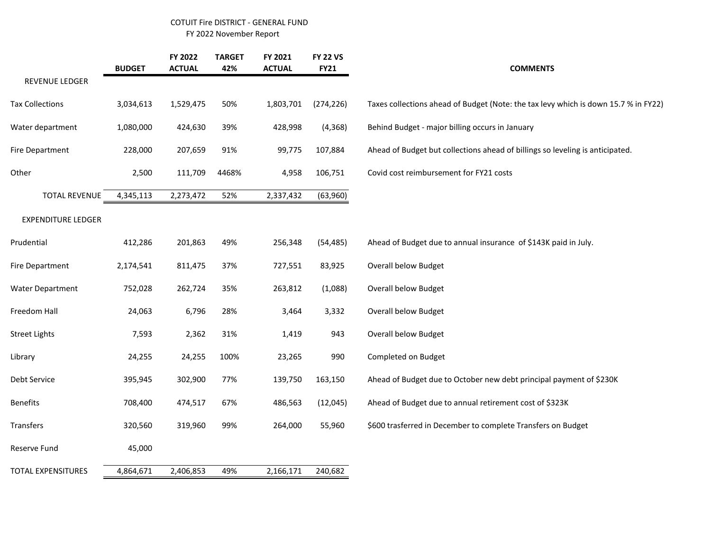## COTUIT Fire DISTRICT - GENERAL FUND FY 2022 November Report

|                           | <b>BUDGET</b> | FY 2022<br><b>ACTUAL</b> | <b>TARGET</b><br>42% | FY 2021<br><b>ACTUAL</b> | <b>FY 22 VS</b><br><b>FY21</b> | <b>COMMENTS</b>                                                                     |
|---------------------------|---------------|--------------------------|----------------------|--------------------------|--------------------------------|-------------------------------------------------------------------------------------|
| REVENUE LEDGER            |               |                          |                      |                          |                                |                                                                                     |
| <b>Tax Collections</b>    | 3,034,613     | 1,529,475                | 50%                  | 1,803,701                | (274, 226)                     | Taxes collections ahead of Budget (Note: the tax levy which is down 15.7 % in FY22) |
| Water department          | 1,080,000     | 424,630                  | 39%                  | 428,998                  | (4, 368)                       | Behind Budget - major billing occurs in January                                     |
| Fire Department           | 228,000       | 207,659                  | 91%                  | 99,775                   | 107,884                        | Ahead of Budget but collections ahead of billings so leveling is anticipated.       |
| Other                     | 2,500         | 111,709                  | 4468%                | 4,958                    | 106,751                        | Covid cost reimbursement for FY21 costs                                             |
| <b>TOTAL REVENUE</b>      | 4,345,113     | 2,273,472                | 52%                  | 2,337,432                | (63,960)                       |                                                                                     |
| <b>EXPENDITURE LEDGER</b> |               |                          |                      |                          |                                |                                                                                     |
| Prudential                | 412,286       | 201,863                  | 49%                  | 256,348                  | (54, 485)                      | Ahead of Budget due to annual insurance of \$143K paid in July.                     |
| Fire Department           | 2,174,541     | 811,475                  | 37%                  | 727,551                  | 83,925                         | <b>Overall below Budget</b>                                                         |
| <b>Water Department</b>   | 752,028       | 262,724                  | 35%                  | 263,812                  | (1,088)                        | <b>Overall below Budget</b>                                                         |
| Freedom Hall              | 24,063        | 6,796                    | 28%                  | 3,464                    | 3,332                          | Overall below Budget                                                                |
| <b>Street Lights</b>      | 7,593         | 2,362                    | 31%                  | 1,419                    | 943                            | <b>Overall below Budget</b>                                                         |
| Library                   | 24,255        | 24,255                   | 100%                 | 23,265                   | 990                            | Completed on Budget                                                                 |
| Debt Service              | 395,945       | 302,900                  | 77%                  | 139,750                  | 163,150                        | Ahead of Budget due to October new debt principal payment of \$230K                 |
| <b>Benefits</b>           | 708,400       | 474,517                  | 67%                  | 486,563                  | (12,045)                       | Ahead of Budget due to annual retirement cost of \$323K                             |
| Transfers                 | 320,560       | 319,960                  | 99%                  | 264,000                  | 55,960                         | \$600 trasferred in December to complete Transfers on Budget                        |
| Reserve Fund              | 45,000        |                          |                      |                          |                                |                                                                                     |
| TOTAL EXPENSITURES        | 4,864,671     | 2,406,853                | 49%                  | 2,166,171                | 240,682                        |                                                                                     |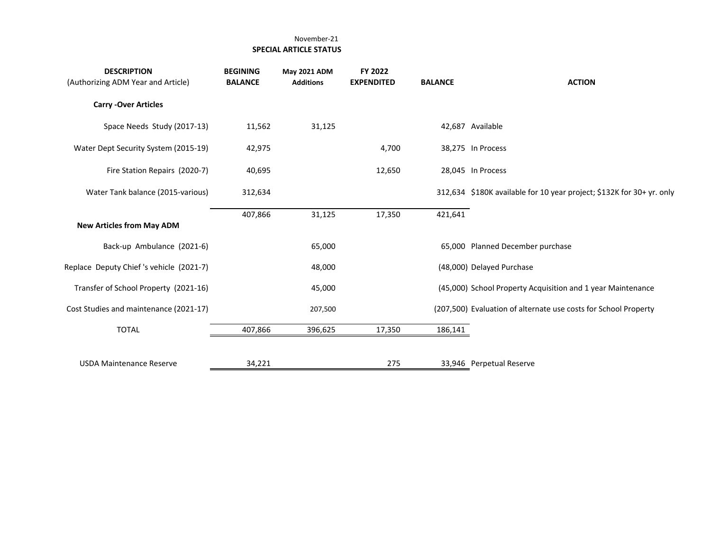## November-21  **SPECIAL ARTICLE STATUS**

| <b>DESCRIPTION</b><br>(Authorizing ADM Year and Article) | <b>BEGINING</b><br><b>BALANCE</b> | <b>May 2021 ADM</b><br><b>Additions</b> | FY 2022<br><b>EXPENDITED</b> | <b>BALANCE</b> | <b>ACTION</b>                                                         |
|----------------------------------------------------------|-----------------------------------|-----------------------------------------|------------------------------|----------------|-----------------------------------------------------------------------|
| <b>Carry -Over Articles</b>                              |                                   |                                         |                              |                |                                                                       |
| Space Needs Study (2017-13)                              | 11,562                            | 31,125                                  |                              |                | 42,687 Available                                                      |
| Water Dept Security System (2015-19)                     | 42,975                            |                                         | 4,700                        |                | 38,275 In Process                                                     |
| Fire Station Repairs (2020-7)                            | 40,695                            |                                         | 12,650                       |                | 28,045 In Process                                                     |
| Water Tank balance (2015-various)                        | 312,634                           |                                         |                              |                | 312,634 \$180K available for 10 year project; \$132K for 30+ yr. only |
| <b>New Articles from May ADM</b>                         | 407,866                           | 31,125                                  | 17,350                       | 421,641        |                                                                       |
| Back-up Ambulance (2021-6)                               |                                   | 65,000                                  |                              |                | 65,000 Planned December purchase                                      |
| Replace Deputy Chief's vehicle (2021-7)                  |                                   | 48,000                                  |                              |                | (48,000) Delayed Purchase                                             |
| Transfer of School Property (2021-16)                    |                                   | 45,000                                  |                              |                | (45,000) School Property Acquisition and 1 year Maintenance           |
| Cost Studies and maintenance (2021-17)                   |                                   | 207,500                                 |                              |                | (207,500) Evaluation of alternate use costs for School Property       |
| <b>TOTAL</b>                                             | 407,866                           | 396,625                                 | 17,350                       | 186,141        |                                                                       |
| <b>USDA Maintenance Reserve</b>                          | 34,221                            |                                         | 275                          |                | 33,946 Perpetual Reserve                                              |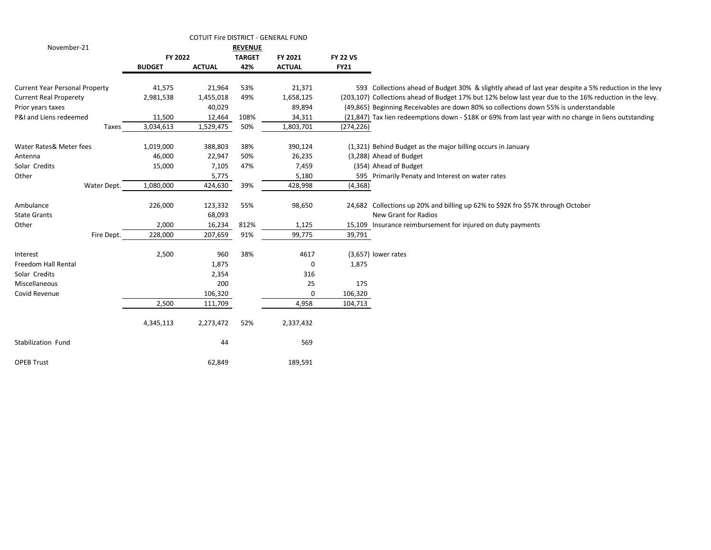|                                       |               | COTUIT Fire DISTRICT - GENERAL FUND |                |               |                 |                                                                                                         |
|---------------------------------------|---------------|-------------------------------------|----------------|---------------|-----------------|---------------------------------------------------------------------------------------------------------|
| November-21                           |               |                                     | <b>REVENUE</b> |               |                 |                                                                                                         |
|                                       | FY 2022       |                                     | <b>TARGET</b>  | FY 2021       | <b>FY 22 VS</b> |                                                                                                         |
|                                       | <b>BUDGET</b> | <b>ACTUAL</b>                       | 42%            | <b>ACTUAL</b> | <b>FY21</b>     |                                                                                                         |
| <b>Current Year Personal Property</b> | 41,575        | 21,964                              | 53%            | 21,371        |                 | 593 Collections ahead of Budget 30% & slightly ahead of last year despite a 5% reduction in the levy    |
| <b>Current Real Properety</b>         | 2,981,538     | 1,455,018                           | 49%            | 1,658,125     |                 | (203,107) Collections ahead of Budget 17% but 12% below last year due to the 16% reduction in the levy. |
| Prior years taxes                     |               | 40,029                              |                | 89,894        |                 | (49,865) Beginning Receivables are down 80% so collections down 55% is understandable                   |
| P&I and Liens redeemed                | 11,500        | 12,464                              | 108%           | 34,311        |                 | (21,847) Tax lien redeemptions down - \$18K or 69% from last year with no change in liens outstanding   |
| Taxes                                 | 3,034,613     | 1,529,475                           | 50%            | 1,803,701     | (274, 226)      |                                                                                                         |
| Water Rates& Meter fees               | 1,019,000     | 388,803                             | 38%            | 390,124       |                 | (1,321) Behind Budget as the major billing occurs in January                                            |
| Antenna                               | 46,000        | 22,947                              | 50%            | 26,235        |                 | (3,288) Ahead of Budget                                                                                 |
| Solar Credits                         | 15,000        | 7,105                               | 47%            | 7,459         |                 | (354) Ahead of Budget                                                                                   |
| Other                                 |               | 5,775                               |                | 5,180         |                 | 595 Primarily Penaty and Interest on water rates                                                        |
| Water Dept.                           | 1,080,000     | 424,630                             | 39%            | 428,998       | (4, 368)        |                                                                                                         |
| Ambulance<br><b>State Grants</b>      | 226,000       | 123,332<br>68,093                   | 55%            | 98,650        |                 | 24,682 Collections up 20% and billing up 62% to \$92K fro \$57K through October<br>New Grant for Radios |
| Other                                 | 2,000         | 16,234                              | 812%           | 1,125         |                 | 15,109 Insurance reimbursement for injured on duty payments                                             |
| Fire Dept.                            | 228,000       | 207,659                             | 91%            | 99,775        | 39,791          |                                                                                                         |
| Interest                              | 2,500         | 960                                 | 38%            | 4617          |                 | (3,657) lower rates                                                                                     |
| <b>Freedom Hall Rental</b>            |               | 1,875                               |                | 0             | 1,875           |                                                                                                         |
| Solar Credits                         |               | 2,354                               |                | 316           |                 |                                                                                                         |
| Miscellaneous                         |               | 200                                 |                | 25            | 175             |                                                                                                         |
| Covid Revenue                         |               | 106,320                             |                | 0             | 106,320         |                                                                                                         |
|                                       | 2,500         | 111,709                             |                | 4,958         | 104,713         |                                                                                                         |
|                                       | 4,345,113     | 2,273,472                           | 52%            | 2,337,432     |                 |                                                                                                         |
| Stabilization Fund                    |               | 44                                  |                | 569           |                 |                                                                                                         |
| <b>OPEB Trust</b>                     |               | 62,849                              |                | 189,591       |                 |                                                                                                         |